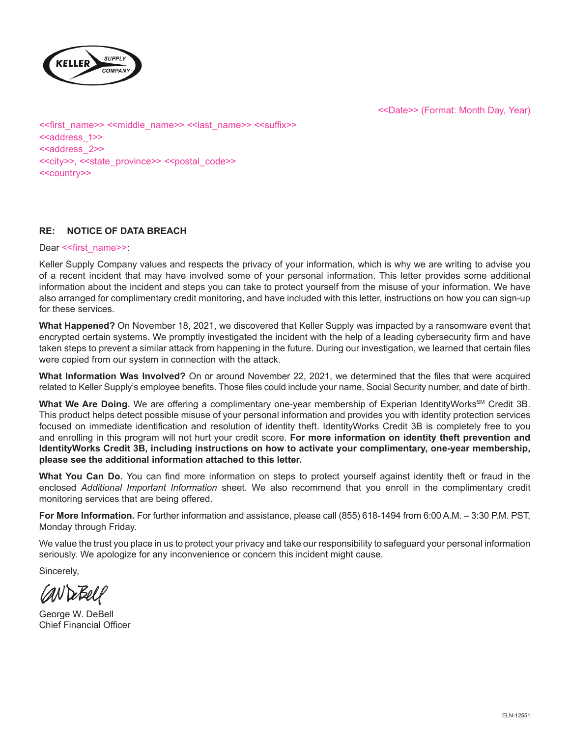

<<Date>> (Format: Month Day, Year)

<<first\_name>> <<middle\_name>> <<last\_name>> <<suffix>> <<address\_1>> <<address\_2>> <<city>>, <<state\_province>> <<postal\_code>> <<country>>

# **RE: NOTICE OF DATA BREACH**

Dear << first\_name>>:

Keller Supply Company values and respects the privacy of your information, which is why we are writing to advise you of a recent incident that may have involved some of your personal information. This letter provides some additional information about the incident and steps you can take to protect yourself from the misuse of your information. We have also arranged for complimentary credit monitoring, and have included with this letter, instructions on how you can sign-up for these services.

**What Happened?** On November 18, 2021, we discovered that Keller Supply was impacted by a ransomware event that encrypted certain systems. We promptly investigated the incident with the help of a leading cybersecurity firm and have taken steps to prevent a similar attack from happening in the future. During our investigation, we learned that certain files were copied from our system in connection with the attack.

**What Information Was Involved?** On or around November 22, 2021, we determined that the files that were acquired related to Keller Supply's employee benefits. Those files could include your name, Social Security number, and date of birth.

What We Are Doing. We are offering a complimentary one-year membership of Experian IdentityWorks<sup>SM</sup> Credit 3B. This product helps detect possible misuse of your personal information and provides you with identity protection services focused on immediate identification and resolution of identity theft. IdentityWorks Credit 3B is completely free to you and enrolling in this program will not hurt your credit score. **For more information on identity theft prevention and IdentityWorks Credit 3B, including instructions on how to activate your complimentary, one-year membership, please see the additional information attached to this letter.**

**What You Can Do.** You can find more information on steps to protect yourself against identity theft or fraud in the enclosed *Additional Important Information* sheet. We also recommend that you enroll in the complimentary credit monitoring services that are being offered.

**For More Information.** For further information and assistance, please call (855) 618-1494 from 6:00 A.M. – 3:30 P.M. PST, Monday through Friday.

We value the trust you place in us to protect your privacy and take our responsibility to safeguard your personal information seriously. We apologize for any inconvenience or concern this incident might cause.

Sincerely,

CAN De Bell

George W. DeBell Chief Financial Officer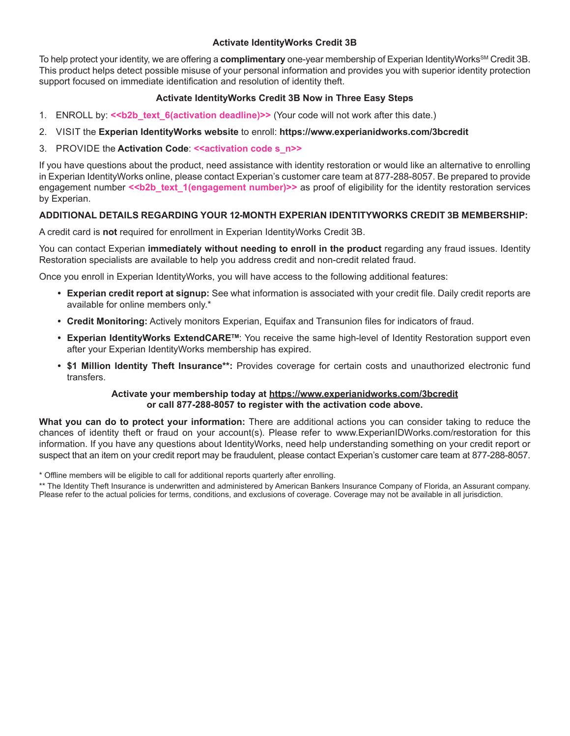### **Activate IdentityWorks Credit 3B**

To help protect your identity, we are offering a **complimentary** one-year membership of Experian IdentityWorks<sup>sM</sup> Credit 3B. This product helps detect possible misuse of your personal information and provides you with superior identity protection support focused on immediate identification and resolution of identity theft.

## **Activate IdentityWorks Credit 3B Now in Three Easy Steps**

- 1. ENROLL by:  $\le b2b$  text 6(activation deadline)>> (Your code will not work after this date.)
- 2. VISIT the **Experian IdentityWorks website** to enroll: **https://www.experianidworks.com/3bcredit**
- 3. PROVIDE the **Activation Code**: **<<activation code s\_n>>**

If you have questions about the product, need assistance with identity restoration or would like an alternative to enrolling in Experian IdentityWorks online, please contact Experian's customer care team at 877-288-8057. Be prepared to provide engagement number <<br />b2b\_text\_1(engagement number)>> as proof of eligibility for the identity restoration services by Experian.

### **ADDITIONAL DETAILS REGARDING YOUR 12-MONTH EXPERIAN IDENTITYWORKS CREDIT 3B MEMBERSHIP:**

A credit card is **not** required for enrollment in Experian IdentityWorks Credit 3B.

You can contact Experian **immediately without needing to enroll in the product** regarding any fraud issues. Identity Restoration specialists are available to help you address credit and non-credit related fraud.

Once you enroll in Experian IdentityWorks, you will have access to the following additional features:

- **• Experian credit report at signup:** See what information is associated with your credit file. Daily credit reports are available for online members only.\*
- **• Credit Monitoring:** Actively monitors Experian, Equifax and Transunion files for indicators of fraud.
- **• Experian IdentityWorks ExtendCARETM**: You receive the same high-level of Identity Restoration support even after your Experian IdentityWorks membership has expired.
- **• \$1 Million Identity Theft Insurance\*\*:** Provides coverage for certain costs and unauthorized electronic fund transfers.

#### **Activate your membership today at https://www.experianidworks.com/3bcredit or call 877-288-8057 to register with the activation code above.**

**What you can do to protect your information:** There are additional actions you can consider taking to reduce the chances of identity theft or fraud on your account(s). Please refer to www.ExperianIDWorks.com/restoration for this information. If you have any questions about IdentityWorks, need help understanding something on your credit report or suspect that an item on your credit report may be fraudulent, please contact Experian's customer care team at 877-288-8057.

\* Offline members will be eligible to call for additional reports quarterly after enrolling.

\*\* The Identity Theft Insurance is underwritten and administered by American Bankers Insurance Company of Florida, an Assurant company. Please refer to the actual policies for terms, conditions, and exclusions of coverage. Coverage may not be available in all jurisdiction.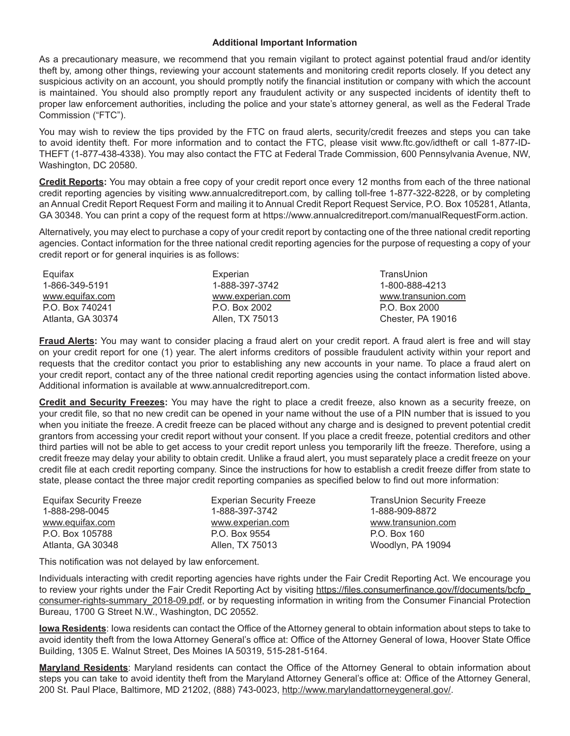#### **Additional Important Information**

As a precautionary measure, we recommend that you remain vigilant to protect against potential fraud and/or identity theft by, among other things, reviewing your account statements and monitoring credit reports closely. If you detect any suspicious activity on an account, you should promptly notify the financial institution or company with which the account is maintained. You should also promptly report any fraudulent activity or any suspected incidents of identity theft to proper law enforcement authorities, including the police and your state's attorney general, as well as the Federal Trade Commission ("FTC").

You may wish to review the tips provided by the FTC on fraud alerts, security/credit freezes and steps you can take to avoid identity theft. For more information and to contact the FTC, please visit www.ftc.gov/idtheft or call 1-877-ID-THEFT (1-877-438-4338). You may also contact the FTC at Federal Trade Commission, 600 Pennsylvania Avenue, NW, Washington, DC 20580.

**Credit Reports:** You may obtain a free copy of your credit report once every 12 months from each of the three national credit reporting agencies by visiting www.annualcreditreport.com, by calling toll-free 1-877-322-8228, or by completing an Annual Credit Report Request Form and mailing it to Annual Credit Report Request Service, P.O. Box 105281, Atlanta, GA 30348. You can print a copy of the request form at https://www.annualcreditreport.com/manualRequestForm.action.

Alternatively, you may elect to purchase a copy of your credit report by contacting one of the three national credit reporting agencies. Contact information for the three national credit reporting agencies for the purpose of requesting a copy of your credit report or for general inquiries is as follows:

| Equifax           | Experian         | TransUnion         |
|-------------------|------------------|--------------------|
| 1-866-349-5191    | 1-888-397-3742   | 1-800-888-4213     |
| www.equifax.com   | www.experian.com | www.transunion.com |
| P.O. Box 740241   | P.O. Box 2002    | P.O. Box 2000      |
| Atlanta, GA 30374 | Allen, TX 75013  | Chester, PA 19016  |

**Fraud Alerts:** You may want to consider placing a fraud alert on your credit report. A fraud alert is free and will stay on your credit report for one (1) year. The alert informs creditors of possible fraudulent activity within your report and requests that the creditor contact you prior to establishing any new accounts in your name. To place a fraud alert on your credit report, contact any of the three national credit reporting agencies using the contact information listed above. Additional information is available at www.annualcreditreport.com.

**Credit and Security Freezes:** You may have the right to place a credit freeze, also known as a security freeze, on your credit file, so that no new credit can be opened in your name without the use of a PIN number that is issued to you when you initiate the freeze. A credit freeze can be placed without any charge and is designed to prevent potential credit grantors from accessing your credit report without your consent. If you place a credit freeze, potential creditors and other third parties will not be able to get access to your credit report unless you temporarily lift the freeze. Therefore, using a credit freeze may delay your ability to obtain credit. Unlike a fraud alert, you must separately place a credit freeze on your credit file at each credit reporting company. Since the instructions for how to establish a credit freeze differ from state to state, please contact the three major credit reporting companies as specified below to find out more information:

| <b>Equifax Security Freeze</b> | <b>Experian Security Freeze</b> |
|--------------------------------|---------------------------------|
| 1-888-298-0045                 | 1-888-397-3742                  |
| www.equifax.com                | www.experian.com                |
| P.O. Box 105788                | P.O. Box 9554                   |
| Atlanta, GA 30348              | Allen, TX 75013                 |

TransUnion Security Freeze 1-888-909-8872 www.transunion.com P.O. Box 160 Woodlyn, PA 19094

This notification was not delayed by law enforcement.

Individuals interacting with credit reporting agencies have rights under the Fair Credit Reporting Act. We encourage you to review your rights under the Fair Credit Reporting Act by visiting https://files.consumerfinance.gov/f/documents/bcfp\_ consumer-rights-summary\_2018-09.pdf, or by requesting information in writing from the Consumer Financial Protection Bureau, 1700 G Street N.W., Washington, DC 20552.

**Iowa Residents**: Iowa residents can contact the Office of the Attorney general to obtain information about steps to take to avoid identity theft from the Iowa Attorney General's office at: Office of the Attorney General of Iowa, Hoover State Office Building, 1305 E. Walnut Street, Des Moines IA 50319, 515-281-5164.

**Maryland Residents**: Maryland residents can contact the Office of the Attorney General to obtain information about steps you can take to avoid identity theft from the Maryland Attorney General's office at: Office of the Attorney General, 200 St. Paul Place, Baltimore, MD 21202, (888) 743-0023, http://www.marylandattorneygeneral.gov/.